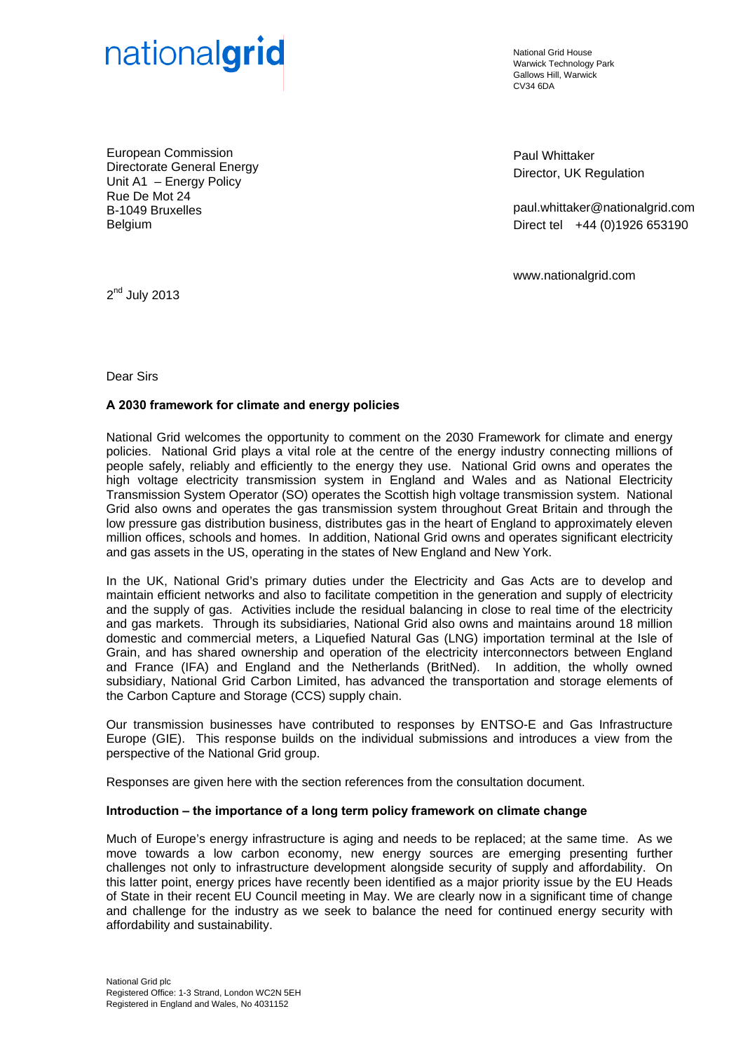

National Grid House Warwick Technology Park Gallows Hill, Warwick  $C<sub>1</sub>1/34$  6DA

European Commission Directorate General Energy Unit A1 – Energy Policy Rue De Mot 24 B-1049 Bruxelles Belgium

Paul Whittaker Director, UK Regulation

paul.whittaker@nationalgrid.com Direct tel +44 (0)1926 653190

www.nationalgrid.com

 $2<sup>nd</sup>$  July 2013

Dear Sirs

# **A 2030 framework for climate and energy policies**

National Grid welcomes the opportunity to comment on the 2030 Framework for climate and energy policies. National Grid plays a vital role at the centre of the energy industry connecting millions of people safely, reliably and efficiently to the energy they use. National Grid owns and operates the high voltage electricity transmission system in England and Wales and as National Electricity Transmission System Operator (SO) operates the Scottish high voltage transmission system. National Grid also owns and operates the gas transmission system throughout Great Britain and through the low pressure gas distribution business, distributes gas in the heart of England to approximately eleven million offices, schools and homes. In addition, National Grid owns and operates significant electricity and gas assets in the US, operating in the states of New England and New York.

In the UK, National Grid's primary duties under the Electricity and Gas Acts are to develop and maintain efficient networks and also to facilitate competition in the generation and supply of electricity and the supply of gas. Activities include the residual balancing in close to real time of the electricity and gas markets. Through its subsidiaries, National Grid also owns and maintains around 18 million domestic and commercial meters, a Liquefied Natural Gas (LNG) importation terminal at the Isle of Grain, and has shared ownership and operation of the electricity interconnectors between England and France (IFA) and England and the Netherlands (BritNed). In addition, the wholly owned subsidiary, National Grid Carbon Limited, has advanced the transportation and storage elements of the Carbon Capture and Storage (CCS) supply chain.

Our transmission businesses have contributed to responses by ENTSO-E and Gas Infrastructure Europe (GIE). This response builds on the individual submissions and introduces a view from the perspective of the National Grid group.

Responses are given here with the section references from the consultation document.

### **Introduction – the importance of a long term policy framework on climate change**

Much of Europe's energy infrastructure is aging and needs to be replaced; at the same time. As we move towards a low carbon economy, new energy sources are emerging presenting further challenges not only to infrastructure development alongside security of supply and affordability. On this latter point, energy prices have recently been identified as a major priority issue by the EU Heads of State in their recent EU Council meeting in May. We are clearly now in a significant time of change and challenge for the industry as we seek to balance the need for continued energy security with affordability and sustainability.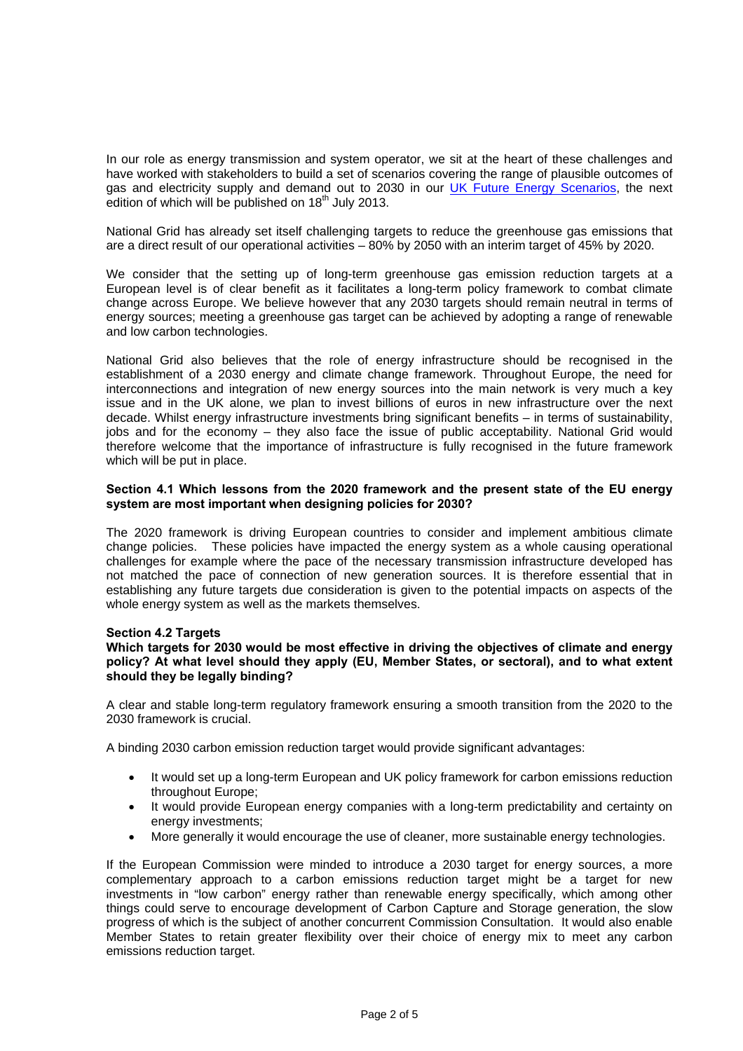In our role as energy transmission and system operator, we sit at the heart of these challenges and have worked with stakeholders to build a set of scenarios covering the range of plausible outcomes of gas and electricity supply and demand out to 2030 in our [UK Future Energy Scenarios,](http://www.nationalgrid.com/NR/rdonlyres/332FFA28-6900-4214-92BB-D3AD4FA5DC01/56611/UKFutureEnergyScenarios2012.pdf) the next edition of which will be published on  $18<sup>th</sup>$  July 2013.

National Grid has already set itself challenging targets to reduce the greenhouse gas emissions that are a direct result of our operational activities – 80% by 2050 with an interim target of 45% by 2020.

We consider that the setting up of long-term greenhouse gas emission reduction targets at a European level is of clear benefit as it facilitates a long-term policy framework to combat climate change across Europe. We believe however that any 2030 targets should remain neutral in terms of energy sources; meeting a greenhouse gas target can be achieved by adopting a range of renewable and low carbon technologies.

National Grid also believes that the role of energy infrastructure should be recognised in the establishment of a 2030 energy and climate change framework. Throughout Europe, the need for interconnections and integration of new energy sources into the main network is very much a key issue and in the UK alone, we plan to invest billions of euros in new infrastructure over the next decade. Whilst energy infrastructure investments bring significant benefits – in terms of sustainability, jobs and for the economy – they also face the issue of public acceptability. National Grid would therefore welcome that the importance of infrastructure is fully recognised in the future framework which will be put in place.

### **Section 4.1 Which lessons from the 2020 framework and the present state of the EU energy system are most important when designing policies for 2030?**

The 2020 framework is driving European countries to consider and implement ambitious climate change policies. These policies have impacted the energy system as a whole causing operational challenges for example where the pace of the necessary transmission infrastructure developed has not matched the pace of connection of new generation sources. It is therefore essential that in establishing any future targets due consideration is given to the potential impacts on aspects of the whole energy system as well as the markets themselves.

### **Section 4.2 Targets**

## **Which targets for 2030 would be most effective in driving the objectives of climate and energy policy? At what level should they apply (EU, Member States, or sectoral), and to what extent should they be legally binding?**

A clear and stable long-term regulatory framework ensuring a smooth transition from the 2020 to the 2030 framework is crucial.

A binding 2030 carbon emission reduction target would provide significant advantages:

- It would set up a long-term European and UK policy framework for carbon emissions reduction throughout Europe;
- It would provide European energy companies with a long-term predictability and certainty on energy investments;
- More generally it would encourage the use of cleaner, more sustainable energy technologies.

If the European Commission were minded to introduce a 2030 target for energy sources, a more complementary approach to a carbon emissions reduction target might be a target for new investments in "low carbon" energy rather than renewable energy specifically, which among other things could serve to encourage development of Carbon Capture and Storage generation, the slow progress of which is the subject of another concurrent Commission Consultation. It would also enable Member States to retain greater flexibility over their choice of energy mix to meet any carbon emissions reduction target.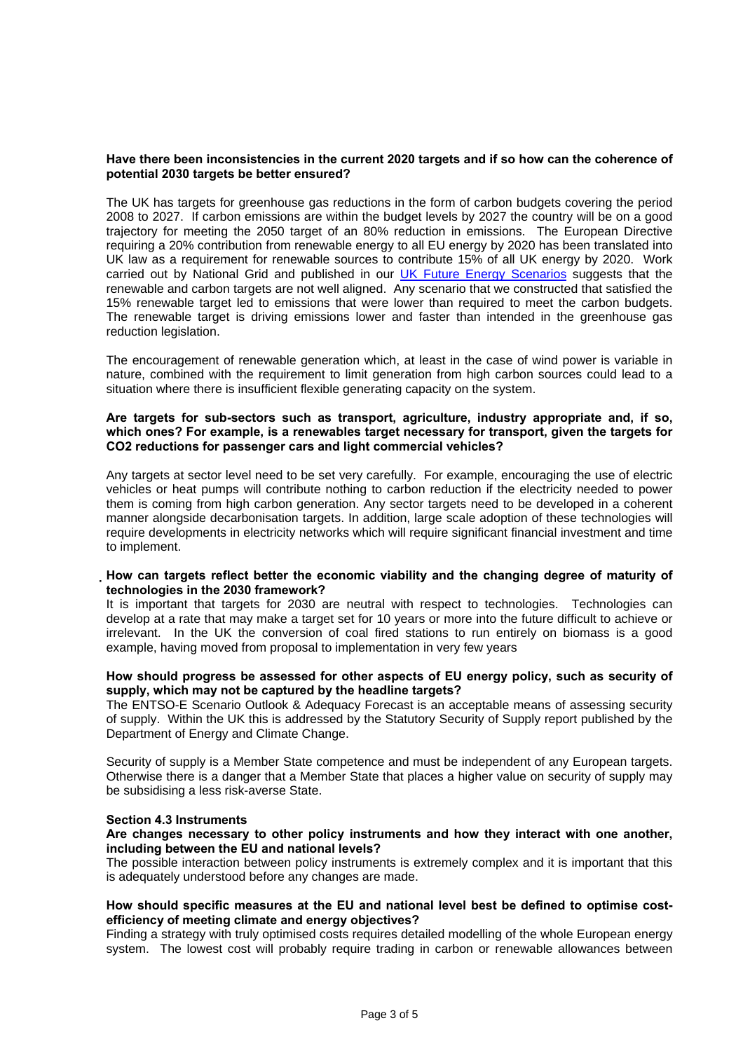### **Have there been inconsistencies in the current 2020 targets and if so how can the coherence of potential 2030 targets be better ensured?**

The UK has targets for greenhouse gas reductions in the form of carbon budgets covering the period 2008 to 2027. If carbon emissions are within the budget levels by 2027 the country will be on a good trajectory for meeting the 2050 target of an 80% reduction in emissions. The European Directive requiring a 20% contribution from renewable energy to all EU energy by 2020 has been translated into UK law as a requirement for renewable sources to contribute 15% of all UK energy by 2020. Work carried out by National Grid and published in our [UK Future Energy Scenarios](http://www.nationalgrid.com/NR/rdonlyres/332FFA28-6900-4214-92BB-D3AD4FA5DC01/56611/UKFutureEnergyScenarios2012.pdf) suggests that the renewable and carbon targets are not well aligned. Any scenario that we constructed that satisfied the 15% renewable target led to emissions that were lower than required to meet the carbon budgets. The renewable target is driving emissions lower and faster than intended in the greenhouse gas reduction legislation.

The encouragement of renewable generation which, at least in the case of wind power is variable in nature, combined with the requirement to limit generation from high carbon sources could lead to a situation where there is insufficient flexible generating capacity on the system.

# **Are targets for sub-sectors such as transport, agriculture, industry appropriate and, if so, which ones? For example, is a renewables target necessary for transport, given the targets for CO2 reductions for passenger cars and light commercial vehicles?**

Any targets at sector level need to be set very carefully. For example, encouraging the use of electric vehicles or heat pumps will contribute nothing to carbon reduction if the electricity needed to power them is coming from high carbon generation. Any sector targets need to be developed in a coherent manner alongside decarbonisation targets. In addition, large scale adoption of these technologies will require developments in electricity networks which will require significant financial investment and time to implement.

### **How can targets reflect better the economic viability and the changing degree of maturity of technologies in the 2030 framework?**

It is important that targets for 2030 are neutral with respect to technologies. Technologies can develop at a rate that may make a target set for 10 years or more into the future difficult to achieve or irrelevant. In the UK the conversion of coal fired stations to run entirely on biomass is a good example, having moved from proposal to implementation in very few years

### **How should progress be assessed for other aspects of EU energy policy, such as security of supply, which may not be captured by the headline targets?**

The ENTSO-E Scenario Outlook & Adequacy Forecast is an acceptable means of assessing security of supply. Within the UK this is addressed by the Statutory Security of Supply report published by the Department of Energy and Climate Change.

Security of supply is a Member State competence and must be independent of any European targets. Otherwise there is a danger that a Member State that places a higher value on security of supply may be subsidising a less risk-averse State.

### **Section 4.3 Instruments**

**Are changes necessary to other policy instruments and how they interact with one another, including between the EU and national levels?** 

The possible interaction between policy instruments is extremely complex and it is important that this is adequately understood before any changes are made.

## **How should specific measures at the EU and national level best be defined to optimise costefficiency of meeting climate and energy objectives?**

Finding a strategy with truly optimised costs requires detailed modelling of the whole European energy system. The lowest cost will probably require trading in carbon or renewable allowances between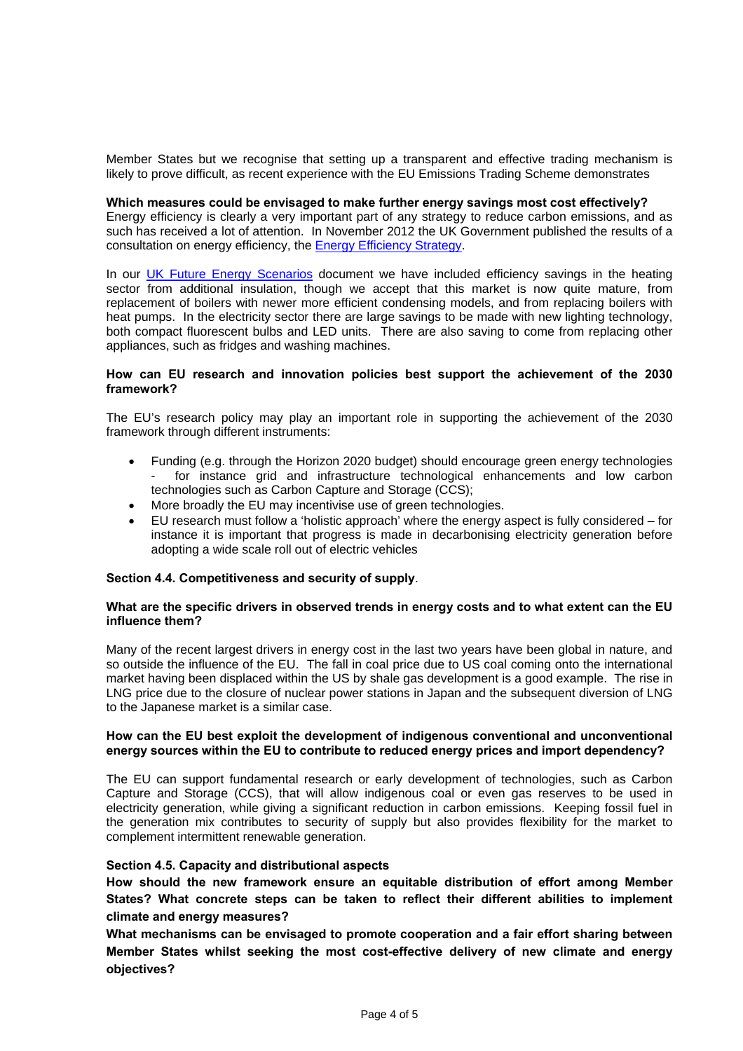Member States but we recognise that setting up a transparent and effective trading mechanism is likely to prove difficult, as recent experience with the EU Emissions Trading Scheme demonstrates

#### **Which measures could be envisaged to make further energy savings most cost effectively?**

Energy efficiency is clearly a very important part of any strategy to reduce carbon emissions, and as such has received a lot of attention. In November 2012 the UK Government published the results of a consultation on energy efficiency, the [Energy Efficiency Strategy.](https://www.gov.uk/government/uploads/system/uploads/attachment_data/file/65602/6927-energy-efficiency-strategy--the-energy-efficiency.pdf)

In our [UK Future Energy Scenarios](http://www.nationalgrid.com/NR/rdonlyres/332FFA28-6900-4214-92BB-D3AD4FA5DC01/56611/UKFutureEnergyScenarios2012.pdf) document we have included efficiency savings in the heating sector from additional insulation, though we accept that this market is now quite mature, from replacement of boilers with newer more efficient condensing models, and from replacing boilers with heat pumps. In the electricity sector there are large savings to be made with new lighting technology, both compact fluorescent bulbs and LED units. There are also saving to come from replacing other appliances, such as fridges and washing machines.

#### **How can EU research and innovation policies best support the achievement of the 2030 framework?**

The EU's research policy may play an important role in supporting the achievement of the 2030 framework through different instruments:

- Funding (e.g. through the Horizon 2020 budget) should encourage green energy technologies for instance grid and infrastructure technological enhancements and low carbon technologies such as Carbon Capture and Storage (CCS);
- More broadly the EU may incentivise use of green technologies.
- EU research must follow a 'holistic approach' where the energy aspect is fully considered for instance it is important that progress is made in decarbonising electricity generation before adopting a wide scale roll out of electric vehicles

### **Section 4.4. Competitiveness and security of supply**.

## **What are the specific drivers in observed trends in energy costs and to what extent can the EU influence them?**

Many of the recent largest drivers in energy cost in the last two years have been global in nature, and so outside the influence of the EU. The fall in coal price due to US coal coming onto the international market having been displaced within the US by shale gas development is a good example. The rise in LNG price due to the closure of nuclear power stations in Japan and the subsequent diversion of LNG to the Japanese market is a similar case.

### **How can the EU best exploit the development of indigenous conventional and unconventional energy sources within the EU to contribute to reduced energy prices and import dependency?**

The EU can support fundamental research or early development of technologies, such as Carbon Capture and Storage (CCS), that will allow indigenous coal or even gas reserves to be used in electricity generation, while giving a significant reduction in carbon emissions. Keeping fossil fuel in the generation mix contributes to security of supply but also provides flexibility for the market to complement intermittent renewable generation.

### **Section 4.5. Capacity and distributional aspects**

**How should the new framework ensure an equitable distribution of effort among Member States? What concrete steps can be taken to reflect their different abilities to implement climate and energy measures?** 

**What mechanisms can be envisaged to promote cooperation and a fair effort sharing between Member States whilst seeking the most cost-effective delivery of new climate and energy objectives?**